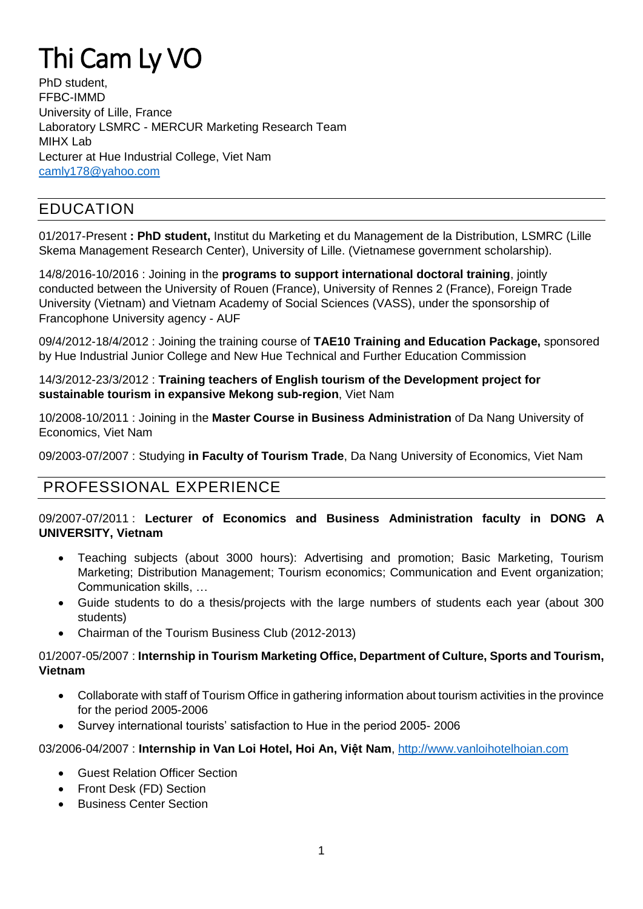# Thi Cam Ly VO

PhD student FFBC-IMMD University of Lille, France Laboratory LSMRC - MERCUR Marketing Research Team MIHX Lab Lecturer at Hue Industrial College, Viet Nam [camly178@yahoo.com](mailto:camly178@yahoo.com)

# EDUCATION

01/2017-Present **: PhD student,** Institut du Marketing et du Management de la Distribution, LSMRC (Lille Skema Management Research Center), University of Lille. (Vietnamese government scholarship).

14/8/2016-10/2016 : Joining in the **programs to support international doctoral training**, jointly conducted between the University of Rouen (France), University of Rennes 2 (France), Foreign Trade University (Vietnam) and Vietnam Academy of Social Sciences (VASS), under the sponsorship of Francophone University agency - AUF

09/4/2012-18/4/2012 : Joining the training course of **TAE10 Training and Education Package,** sponsored by Hue Industrial Junior College and New Hue Technical and Further Education Commission

14/3/2012-23/3/2012 : **Training teachers of English tourism of the Development project for sustainable tourism in expansive Mekong sub-region**, Viet Nam

10/2008-10/2011 : Joining in the **Master Course in Business Administration** of Da Nang University of Economics, Viet Nam

09/2003-07/2007 : Studying **in Faculty of Tourism Trade**, Da Nang University of Economics, Viet Nam

# PROFESSIONAL EXPERIENCE

#### 09/2007-07/2011 : **Lecturer of Economics and Business Administration faculty in DONG A UNIVERSITY, Vietnam**

- Teaching subjects (about 3000 hours): Advertising and promotion; Basic Marketing, Tourism Marketing; Distribution Management; Tourism economics; Communication and Event organization; Communication skills, …
- Guide students to do a thesis/projects with the large numbers of students each year (about 300 students)
- Chairman of the Tourism Business Club (2012-2013)

#### 01/2007-05/2007 : **Internship in Tourism Marketing Office, Department of Culture, Sports and Tourism, Vietnam**

- Collaborate with staff of Tourism Office in gathering information about tourism activities in the province for the period 2005-2006
- Survey international tourists' satisfaction to Hue in the period 2005- 2006

#### 03/2006-04/2007 : **Internship in Van Loi Hotel, Hoi An, Việt Nam**, [http://www.vanloihotelhoian.com](http://www.vanloihotelhoian.com/)

- Guest Relation Officer Section
- Front Desk (FD) Section
- Business Center Section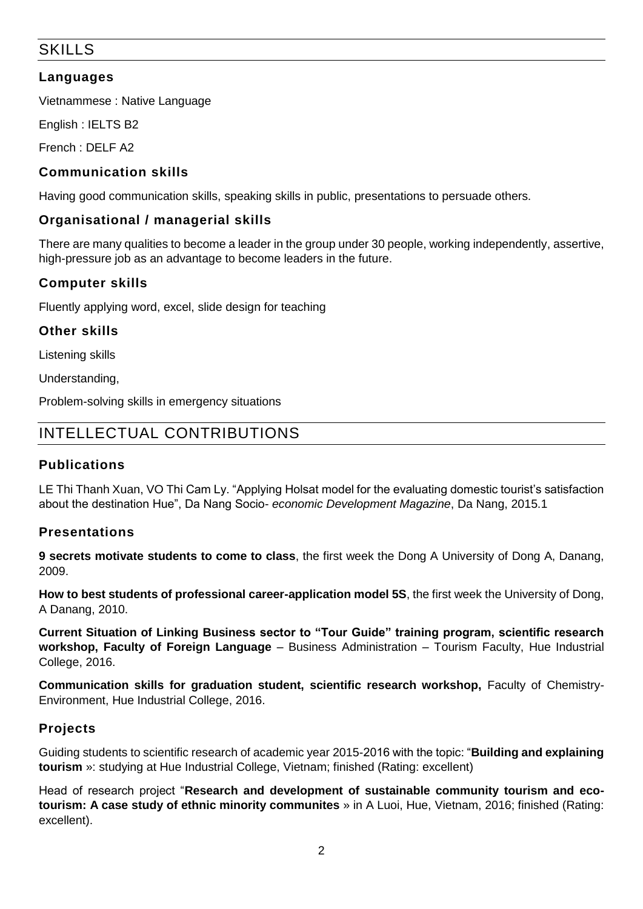# SKILLS

#### **Languages**

Vietnammese : Native Language

English : IELTS B2

French : DELF A2

#### **Communication skills**

Having good communication skills, speaking skills in public, presentations to persuade others.

#### **Organisational / managerial skills**

There are many qualities to become a leader in the group under 30 people, working independently, assertive, high-pressure job as an advantage to become leaders in the future.

#### **Computer skills**

Fluently applying word, excel, slide design for teaching

#### **Other skills**

Listening skills

Understanding,

Problem-solving skills in emergency situations

# INTELLECTUAL CONTRIBUTIONS

#### **Publications**

LE Thi Thanh Xuan, VO Thi Cam Ly. "Applying Holsat model for the evaluating domestic tourist's satisfaction about the destination Hue", Da Nang Socio- *economic Development Magazine*, Da Nang, 2015.1

#### **Presentations**

**9 secrets motivate students to come to class**, the first week the Dong A University of Dong A, Danang, 2009.

**How to best students of professional career-application model 5S**, the first week the University of Dong, A Danang, 2010.

**Current Situation of Linking Business sector to "Tour Guide" training program, scientific research workshop, Faculty of Foreign Language** – Business Administration – Tourism Faculty, Hue Industrial College, 2016.

**Communication skills for graduation student, scientific research workshop,** Faculty of Chemistry-Environment, Hue Industrial College, 2016.

#### **Projects**

Guiding students to scientific research of academic year 2015-2016 with the topic: "**Building and explaining tourism** »: studying at Hue Industrial College, Vietnam; finished (Rating: excellent)

Head of research project "**Research and development of sustainable community tourism and ecotourism: A case study of ethnic minority communites** » in A Luoi, Hue, Vietnam, 2016; finished (Rating: excellent).